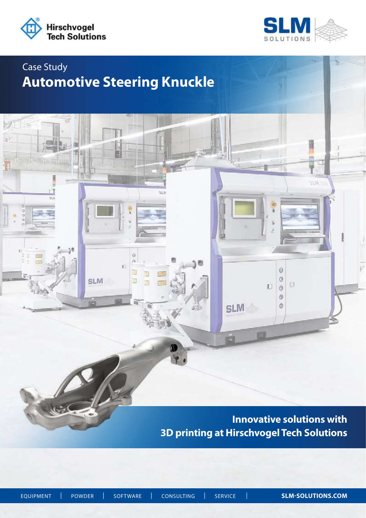

ìĤ

sù

 $9^{\circ}$ :

 $\overline{\mathbf{6}}$  $\frac{0}{0}$ 



**MIR** 

 $\ddot{\mathbf{0}}$ 

 $\circ$ 

 $\circledS$ 

D.  $\theta$  $\circ$ 

**SLM** 

D

# Case Study **Automotive Steering Knuckle**

闏

 $\ddot{\theta}$ ä n

∃

E

SLM

i.

**Innovative solutions with 3D printing at Hirschvogel Tech Solutions** 

EQUIPMENT| POWDER| SOFTWARE| CONSULTING| SERVICE | **SLM-SOLUTIONS.COM**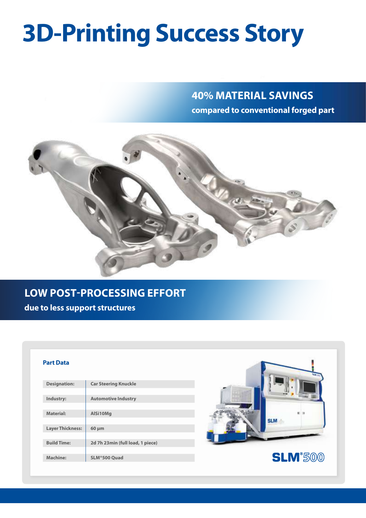# **3D-Printing Success Story**

## **40% MATERIAL SAVINGS compared to conventional forged part**



## **LOW POST-PROCESSING EFFORT**

**due to less support structures**

#### **Part Data**

| <b>Designation:</b>     | <b>Car Steering Knuckle</b>      |
|-------------------------|----------------------------------|
|                         |                                  |
| Industry:               | <b>Automotive Industry</b>       |
|                         |                                  |
| <b>Material:</b>        | AlSi10Mg                         |
|                         |                                  |
| <b>Layer Thickness:</b> | $60 \mu m$                       |
|                         |                                  |
| <b>Build Time:</b>      | 2d 7h 23min (full load, 1 piece) |
|                         |                                  |
| Machine:                | SLM®500 Quad                     |
|                         |                                  |



**SLM**<sup>\$500</sup>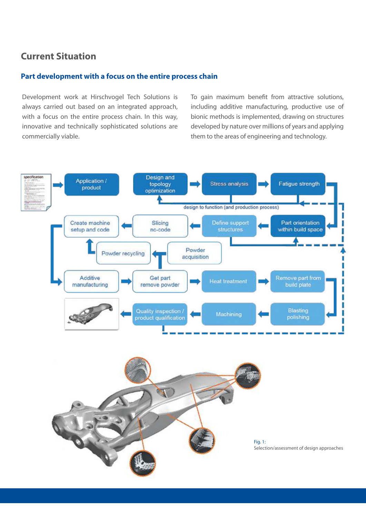## **Current Situation**

#### **Part development with a focus on the entire process chain**

Development work at Hirschvogel Tech Solutions is always carried out based on an integrated approach, with a focus on the entire process chain. In this way, innovative and technically sophisticated solutions are commercially viable.

To gain maximum benefit from attractive solutions, including additive manufacturing, productive use of bionic methods is implemented, drawing on structures developed by nature over millions of years and applying them to the areas of engineering and technology.



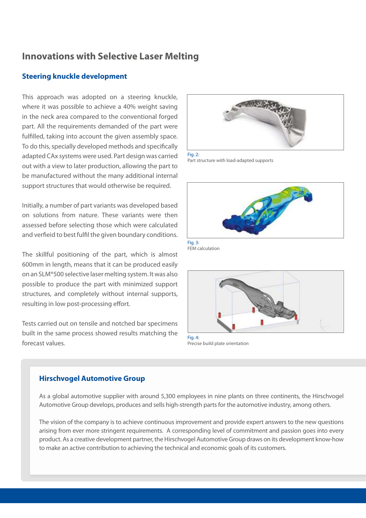## **Innovations with Selective Laser Melting**

#### **Steering knuckle development**

This approach was adopted on a steering knuckle, where it was possible to achieve a 40% weight saving in the neck area compared to the conventional forged part. All the requirements demanded of the part were fulfilled, taking into account the given assembly space. To do this, specially developed methods and specifically adapted CAx systems were used. Part design was carried out with a view to later production, allowing the part to be manufactured without the many additional internal support structures that would otherwise be required.

Initially, a number of part variants was developed based on solutions from nature. These variants were then assessed before selecting those which were calculated and verfieid to best fulfil the given boundary conditions.

The skillful positioning of the part, which is almost 600mm in length, means that it can be produced easily on an SLM®500 selective laser melting system. It was also possible to produce the part with minimized support structures, and completely without internal supports, resulting in low post-processing effort.

Tests carried out on tensile and notched bar specimens built in the same process showed results matching the forecast values.



Fig. 2: Part structure with load-adapted supports



Fig. 3: FEM calculation



Precise build plate orientation

#### **Hirschvogel Automotive Group**

As a global automotive supplier with around 5,300 employees in nine plants on three continents, the Hirschvogel Automotive Group develops, produces and sells high-strength parts for the automotive industry, among others.

The vision of the company is to achieve continuous improvement and provide expert answers to the new questions arising from ever more stringent requirements. A corresponding level of commitment and passion goes into every product. As a creative development partner, the Hirschvogel Automotive Group draws on its development know-how to make an active contribution to achieving the technical and economic goals of its customers.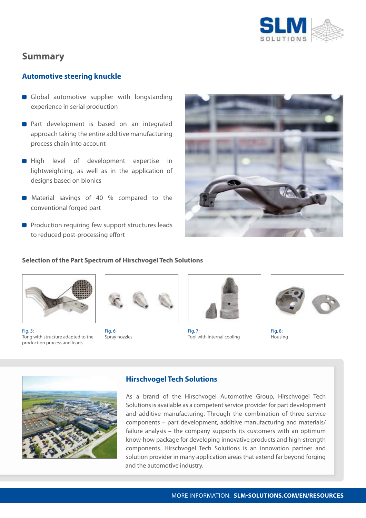

### **Summary**

#### **Automotive steering knuckle**

- Global automotive supplier with longstanding experience in serial production
- **Part development is based on an integrated** approach taking the entire additive manufacturing process chain into account
- **High level of development expertise in** lightweighting, as well as in the application of designs based on bionics
- **Material savings of 40 % compared to the** conventional forged part
- **Production requiring few support structures leads** to reduced post-processing effort



#### **Selection of the Part Spectrum of Hirschvogel Tech Solutions**



Fig. 5: Tong with structure adapted to the production process and loads



Fig. 6: Spray nozzles



Fig. 7: Tool with internal cooling



Fig. 8: Housing



#### **Hirschvogel Tech Solutions**

As a brand of the Hirschvogel Automotive Group, Hirschvogel Tech Solutions is available as a competent service provider for part development and additive manufacturing. Through the combination of three service components – part development, additive manufacturing and materials/ failure analysis – the company supports its customers with an optimum know-how package for developing innovative products and high-strength components. Hirschvogel Tech Solutions is an innovation partner and solution provider in many application areas that extend far beyond forging and the automotive industry.